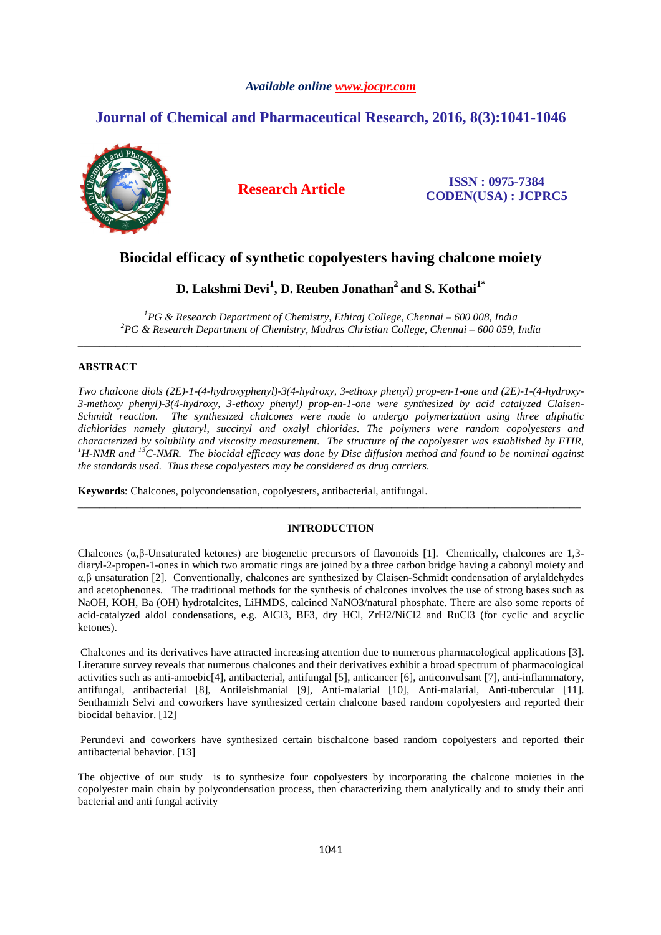# *Available online www.jocpr.com*

# **Journal of Chemical and Pharmaceutical Research, 2016, 8(3):1041-1046**



**Research Article ISSN : 0975-7384 CODEN(USA) : JCPRC5**

# **Biocidal efficacy of synthetic copolyesters having chalcone moiety**

# **D. Lakshmi Devi<sup>1</sup> , D. Reuben Jonathan<sup>2</sup>and S. Kothai1\***

*<sup>1</sup>PG & Research Department of Chemistry, Ethiraj College, Chennai – 600 008, India <sup>2</sup>PG & Research Department of Chemistry, Madras Christian College, Chennai – 600 059, India* \_\_\_\_\_\_\_\_\_\_\_\_\_\_\_\_\_\_\_\_\_\_\_\_\_\_\_\_\_\_\_\_\_\_\_\_\_\_\_\_\_\_\_\_\_\_\_\_\_\_\_\_\_\_\_\_\_\_\_\_\_\_\_\_\_\_\_\_\_\_\_\_\_\_\_\_\_\_\_\_\_\_\_\_\_\_\_\_\_\_\_\_\_

# **ABSTRACT**

*Two chalcone diols (2E)-1-(4-hydroxyphenyl)-3(4-hydroxy, 3-ethoxy phenyl) prop-en-1-one and (2E)-1-(4-hydroxy-3-methoxy phenyl)-3(4-hydroxy, 3-ethoxy phenyl) prop-en-1-one were synthesized by acid catalyzed Claisen-Schmidt reaction. The synthesized chalcones were made to undergo polymerization using three aliphatic dichlorides namely glutaryl, succinyl and oxalyl chlorides. The polymers were random copolyesters and characterized by solubility and viscosity measurement. The structure of the copolyester was established by FTIR, <sup>1</sup>H-NMR and <sup>13</sup>C-NMR. The biocidal efficacy was done by Disc diffusion method and found to be nominal against the standards used. Thus these copolyesters may be considered as drug carriers.* 

**Keywords**: Chalcones, polycondensation, copolyesters, antibacterial, antifungal.

# **INTRODUCTION**

\_\_\_\_\_\_\_\_\_\_\_\_\_\_\_\_\_\_\_\_\_\_\_\_\_\_\_\_\_\_\_\_\_\_\_\_\_\_\_\_\_\_\_\_\_\_\_\_\_\_\_\_\_\_\_\_\_\_\_\_\_\_\_\_\_\_\_\_\_\_\_\_\_\_\_\_\_\_\_\_\_\_\_\_\_\_\_\_\_\_\_\_\_

Chalcones ( $\alpha, \beta$ -Unsaturated ketones) are biogenetic precursors of flavonoids [1]. Chemically, chalcones are 1,3diaryl-2-propen-1-ones in which two aromatic rings are joined by a three carbon bridge having a cabonyl moiety and α,β unsaturation [2]. Conventionally, chalcones are synthesized by Claisen-Schmidt condensation of arylaldehydes and acetophenones. The traditional methods for the synthesis of chalcones involves the use of strong bases such as NaOH, KOH, Ba (OH) hydrotalcites, LiHMDS, calcined NaNO3/natural phosphate. There are also some reports of acid-catalyzed aldol condensations, e.g. AlCl3, BF3, dry HCl, ZrH2/NiCl2 and RuCl3 (for cyclic and acyclic ketones).

 Chalcones and its derivatives have attracted increasing attention due to numerous pharmacological applications [3]. Literature survey reveals that numerous chalcones and their derivatives exhibit a broad spectrum of pharmacological activities such as anti-amoebic[4], antibacterial, antifungal [5], anticancer [6], anticonvulsant [7], anti-inflammatory, antifungal, antibacterial [8], Antileishmanial [9], Anti-malarial [10], Anti-malarial, Anti-tubercular [11]. Senthamizh Selvi and coworkers have synthesized certain chalcone based random copolyesters and reported their biocidal behavior. [12]

 Perundevi and coworkers have synthesized certain bischalcone based random copolyesters and reported their antibacterial behavior. [13]

The objective of our study is to synthesize four copolyesters by incorporating the chalcone moieties in the copolyester main chain by polycondensation process, then characterizing them analytically and to study their anti bacterial and anti fungal activity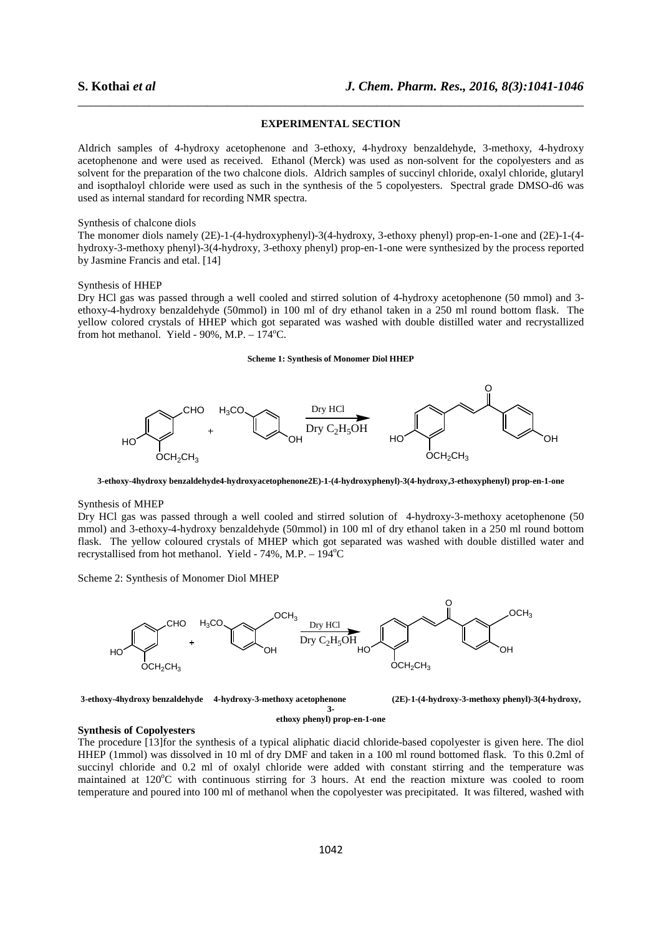# **EXPERIMENTAL SECTION**

\_\_\_\_\_\_\_\_\_\_\_\_\_\_\_\_\_\_\_\_\_\_\_\_\_\_\_\_\_\_\_\_\_\_\_\_\_\_\_\_\_\_\_\_\_\_\_\_\_\_\_\_\_\_\_\_\_\_\_\_\_\_\_\_\_\_\_\_\_\_\_\_\_\_\_\_\_\_

Aldrich samples of 4-hydroxy acetophenone and 3-ethoxy, 4-hydroxy benzaldehyde, 3-methoxy, 4-hydroxy acetophenone and were used as received. Ethanol (Merck) was used as non-solvent for the copolyesters and as solvent for the preparation of the two chalcone diols. Aldrich samples of succinyl chloride, oxalyl chloride, glutaryl and isopthaloyl chloride were used as such in the synthesis of the 5 copolyesters. Spectral grade DMSO-d6 was used as internal standard for recording NMR spectra.

# Synthesis of chalcone diols

The monomer diols namely (2E)-1-(4-hydroxyphenyl)-3(4-hydroxy, 3-ethoxy phenyl) prop-en-1-one and (2E)-1-(4 hydroxy-3-methoxy phenyl)-3(4-hydroxy, 3-ethoxy phenyl) prop-en-1-one were synthesized by the process reported by Jasmine Francis and etal. [14]

#### Synthesis of HHEP

Dry HCl gas was passed through a well cooled and stirred solution of 4-hydroxy acetophenone (50 mmol) and 3 ethoxy-4-hydroxy benzaldehyde (50mmol) in 100 ml of dry ethanol taken in a 250 ml round bottom flask. The yellow colored crystals of HHEP which got separated was washed with double distilled water and recrystallized from hot methanol. Yield -  $90\%$ , M.P.  $- 174^{\circ}$ C.

#### **Scheme 1: Synthesis of Monomer Diol HHEP**



**3-ethoxy-4hydroxy benzaldehyde4-hydroxyacetophenone2E)-1-(4-hydroxyphenyl)-3(4-hydroxy,3-ethoxyphenyl) prop-en-1-one** 

#### Synthesis of MHEP

Dry HCl gas was passed through a well cooled and stirred solution of 4-hydroxy-3-methoxy acetophenone (50 mmol) and 3-ethoxy-4-hydroxy benzaldehyde (50mmol) in 100 ml of dry ethanol taken in a 250 ml round bottom flask. The yellow coloured crystals of MHEP which got separated was washed with double distilled water and recrystallised from hot methanol. Yield -  $74\%$ , M.P. -  $194^{\circ}$ C

Scheme 2: Synthesis of Monomer Diol MHEP



**3-ethoxy-4hydroxy benzaldehyde 4-hydroxy-3-methoxy acetophenone (2E)-1-(4-hydroxy-3-methoxy phenyl)-3(4-hydroxy, 3-** 

#### **ethoxy phenyl) prop-en-1-one**

# **Synthesis of Copolyesters**

The procedure [13]for the synthesis of a typical aliphatic diacid chloride-based copolyester is given here. The diol HHEP (1mmol) was dissolved in 10 ml of dry DMF and taken in a 100 ml round bottomed flask. To this 0.2ml of succinyl chloride and 0.2 ml of oxalyl chloride were added with constant stirring and the temperature was maintained at  $120^{\circ}$ C with continuous stirring for 3 hours. At end the reaction mixture was cooled to room temperature and poured into 100 ml of methanol when the copolyester was precipitated. It was filtered, washed with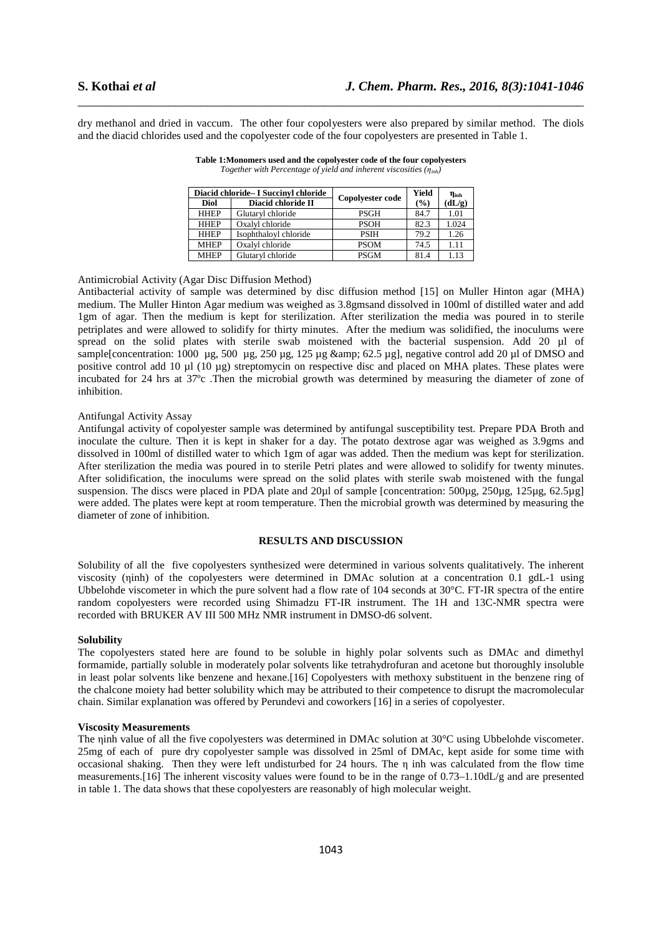dry methanol and dried in vaccum. The other four copolyesters were also prepared by similar method. The diols and the diacid chlorides used and the copolyester code of the four copolyesters are presented in Table 1.

\_\_\_\_\_\_\_\_\_\_\_\_\_\_\_\_\_\_\_\_\_\_\_\_\_\_\_\_\_\_\_\_\_\_\_\_\_\_\_\_\_\_\_\_\_\_\_\_\_\_\_\_\_\_\_\_\_\_\_\_\_\_\_\_\_\_\_\_\_\_\_\_\_\_\_\_\_\_

|             | Diacid chloride - I Succinyl chloride | Copolyester code | Yield  | Պտհ    |
|-------------|---------------------------------------|------------------|--------|--------|
| <b>Diol</b> | Diacid chloride II                    |                  | $(\%)$ | (dL/g) |
| <b>HHEP</b> | Glutaryl chloride                     | <b>PSGH</b>      | 84.7   | 1.01   |
| <b>HHEP</b> | Oxalvl chloride                       | <b>PSOH</b>      | 82.3   | 1.024  |
| <b>HHEP</b> | Isophthaloyl chloride                 | <b>PSIH</b>      | 79.2   | 1.26   |
| <b>MHEP</b> | Oxalvl chloride                       | <b>PSOM</b>      | 74.5   | 1.11   |
| <b>MHEP</b> | Glutaryl chloride                     | <b>PSGM</b>      | 81.4   | 1.13   |

**Table 1:Monomers used and the copolyester code of the four copolyesters**  *Together with Percentage of yield and inherent viscosities (ηinh)* 

Antimicrobial Activity (Agar Disc Diffusion Method)

Antibacterial activity of sample was determined by disc diffusion method [15] on Muller Hinton agar (MHA) medium. The Muller Hinton Agar medium was weighed as 3.8gmsand dissolved in 100ml of distilled water and add 1gm of agar. Then the medium is kept for sterilization. After sterilization the media was poured in to sterile petriplates and were allowed to solidify for thirty minutes. After the medium was solidified, the inoculums were spread on the solid plates with sterile swab moistened with the bacterial suspension. Add 20 µl of sample[concentration: 1000 μg, 500 μg, 250 μg, 125 μg & amp; 62.5 μg], negative control add 20 μl of DMSO and positive control add 10 µl (10 µg) streptomycin on respective disc and placed on MHA plates. These plates were incubated for 24 hrs at 37ºc .Then the microbial growth was determined by measuring the diameter of zone of inhibition.

# Antifungal Activity Assay

Antifungal activity of copolyester sample was determined by antifungal susceptibility test. Prepare PDA Broth and inoculate the culture. Then it is kept in shaker for a day. The potato dextrose agar was weighed as 3.9gms and dissolved in 100ml of distilled water to which 1gm of agar was added. Then the medium was kept for sterilization. After sterilization the media was poured in to sterile Petri plates and were allowed to solidify for twenty minutes. After solidification, the inoculums were spread on the solid plates with sterile swab moistened with the fungal suspension. The discs were placed in PDA plate and 20µl of sample [concentration: 500µg, 250µg, 125µg, 62.5µg] were added. The plates were kept at room temperature. Then the microbial growth was determined by measuring the diameter of zone of inhibition.

# **RESULTS AND DISCUSSION**

Solubility of all the five copolyesters synthesized were determined in various solvents qualitatively. The inherent viscosity (ηinh) of the copolyesters were determined in DMAc solution at a concentration 0.1 gdL-1 using Ubbelohde viscometer in which the pure solvent had a flow rate of 104 seconds at 30°C. FT-IR spectra of the entire random copolyesters were recorded using Shimadzu FT-IR instrument. The 1H and 13C-NMR spectra were recorded with BRUKER AV III 500 MHz NMR instrument in DMSO-d6 solvent.

# **Solubility**

The copolyesters stated here are found to be soluble in highly polar solvents such as DMAc and dimethyl formamide, partially soluble in moderately polar solvents like tetrahydrofuran and acetone but thoroughly insoluble in least polar solvents like benzene and hexane.[16] Copolyesters with methoxy substituent in the benzene ring of the chalcone moiety had better solubility which may be attributed to their competence to disrupt the macromolecular chain. Similar explanation was offered by Perundevi and coworkers [16] in a series of copolyester.

### **Viscosity Measurements**

The ninh value of all the five copolyesters was determined in DMAc solution at 30°C using Ubbelohde viscometer. 25mg of each of pure dry copolyester sample was dissolved in 25ml of DMAc, kept aside for some time with occasional shaking. Then they were left undisturbed for 24 hours. The η inh was calculated from the flow time measurements.[16] The inherent viscosity values were found to be in the range of 0.73–1.10dL/g and are presented in table 1. The data shows that these copolyesters are reasonably of high molecular weight.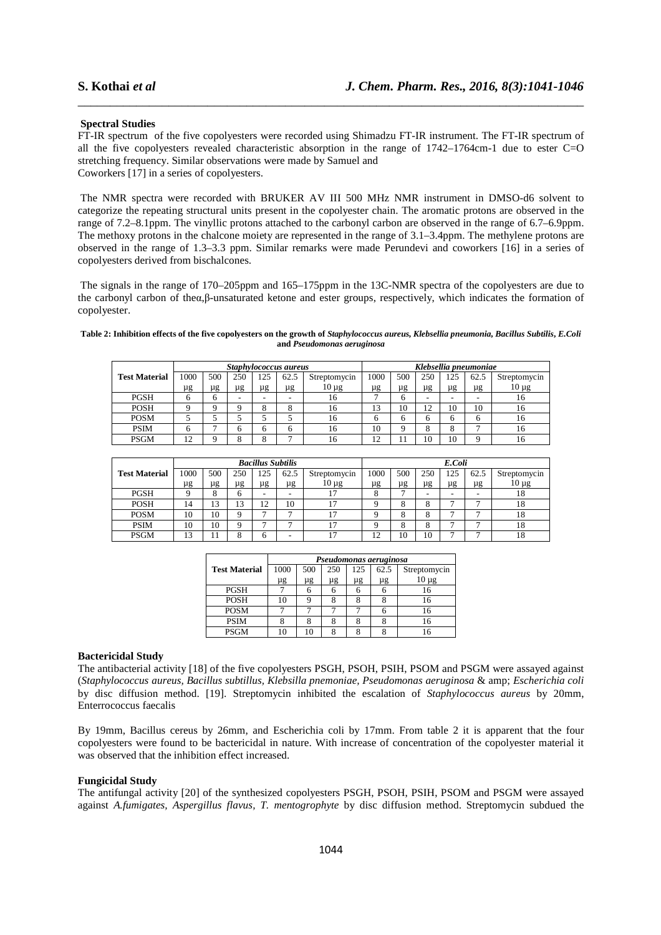## **Spectral Studies**

FT-IR spectrum of the five copolyesters were recorded using Shimadzu FT-IR instrument. The FT-IR spectrum of all the five copolyesters revealed characteristic absorption in the range of 1742–1764cm-1 due to ester C=O stretching frequency. Similar observations were made by Samuel and Coworkers [17] in a series of copolyesters.

\_\_\_\_\_\_\_\_\_\_\_\_\_\_\_\_\_\_\_\_\_\_\_\_\_\_\_\_\_\_\_\_\_\_\_\_\_\_\_\_\_\_\_\_\_\_\_\_\_\_\_\_\_\_\_\_\_\_\_\_\_\_\_\_\_\_\_\_\_\_\_\_\_\_\_\_\_\_

 The NMR spectra were recorded with BRUKER AV III 500 MHz NMR instrument in DMSO-d6 solvent to categorize the repeating structural units present in the copolyester chain. The aromatic protons are observed in the range of 7.2–8.1ppm. The vinyllic protons attached to the carbonyl carbon are observed in the range of 6.7–6.9ppm. The methoxy protons in the chalcone moiety are represented in the range of 3.1–3.4ppm. The methylene protons are observed in the range of 1.3–3.3 ppm. Similar remarks were made Perundevi and coworkers [16] in a series of copolyesters derived from bischalcones.

 The signals in the range of 170–205ppm and 165–175ppm in the 13C-NMR spectra of the copolyesters are due to the carbonyl carbon of theα,β-unsaturated ketone and ester groups, respectively, which indicates the formation of copolyester.

## **Table 2: Inhibition effects of the five copolyesters on the growth of** *Staphylococcus aureus, Klebsellia pneumonia, Bacillus Subtilis***,** *E.Coli* **and** *Pseudomonas aeruginosa*

|                      | Staphylococcus aureus |     |                          |     |      |              | Klebsellia pneumoniae |     |     |     |          |              |
|----------------------|-----------------------|-----|--------------------------|-----|------|--------------|-----------------------|-----|-----|-----|----------|--------------|
| <b>Test Material</b> | 1000                  | 500 | 250                      | 125 | 62.5 | Streptomycin | 1000                  | 500 | 250 | 125 | 62.5     | Streptomycin |
|                      | μg                    | μg  | μg                       | μg  | μg   | $10 \mu$ g   | μg                    | μg  | μg  | μg  | μg       | $10 \mu$ g   |
| <b>PGSH</b>          |                       |     | $\overline{\phantom{a}}$ |     | -    | 16           |                       | h   | -   |     | -        | 16           |
| <b>POSH</b>          |                       |     |                          |     | õ    | 16           | 13                    | 10  | 12  | 10  | 10       | 16           |
| <b>POSM</b>          |                       |     |                          |     |      | 16           |                       | n   |     | h   | h        | 16           |
| <b>PSIM</b>          |                       |     |                          |     | 6    | 16           | 10                    |     |     |     | −        | 16           |
| <b>PSGM</b>          | ∩<br>∸                |     |                          |     |      | 16           | n<br>∸                |     | 10  | 10  | $\Omega$ | 16           |

|                      | <b>Bacillus Subtilis</b> |     |              |     |      |              |      | E.Coli |     |                          |      |              |  |  |
|----------------------|--------------------------|-----|--------------|-----|------|--------------|------|--------|-----|--------------------------|------|--------------|--|--|
| <b>Test Material</b> | 1000                     | 500 | 250          | 125 | 62.5 | Streptomycin | 1000 | 500    | 250 | 125                      | 62.5 | Streptomycin |  |  |
|                      | μg                       | μg  | μg           | μg  | μg   | $10 \mu$ g   | μg   | μg     | μg  | μg                       | μg   | $10 \mu$ g   |  |  |
| <b>PGSH</b>          |                          |     | <sub>0</sub> | -   |      |              |      |        |     | $\overline{\phantom{0}}$ | -    | 18           |  |  |
| <b>POSH</b>          | 14                       | 13  | 13           | 12  | 10   |              |      | 8      | 8   | −                        | ÷    | 18           |  |  |
| <b>POSM</b>          | 10                       | 10  | Ω            |     |      |              |      | 8      | x   | −                        | −    | 18           |  |  |
| <b>PSIM</b>          | 10                       | 10  | Q            |     | -    |              |      | δ      |     | е                        | ÷    | 18           |  |  |
| <b>PSGM</b>          | 13                       |     |              | 6   |      |              | ı٥   | 10     | 10  | −                        | -    | 18           |  |  |

|                      | Pseudomonas aeruginosa |     |     |     |      |              |  |  |  |  |
|----------------------|------------------------|-----|-----|-----|------|--------------|--|--|--|--|
| <b>Test Material</b> | 1000                   | 500 | 250 | 125 | 62.5 | Streptomycin |  |  |  |  |
|                      | μg                     | μg  | μg  | μg  | μg   | $10 \mu g$   |  |  |  |  |
| <b>PGSH</b>          |                        |     |     |     |      | 16           |  |  |  |  |
| <b>POSH</b>          | 10                     |     |     |     |      | 16           |  |  |  |  |
| <b>POSM</b>          |                        |     |     |     |      | 16           |  |  |  |  |
| <b>PSIM</b>          |                        |     |     |     |      | 16           |  |  |  |  |
| <b>PSGM</b>          |                        |     |     |     |      |              |  |  |  |  |

## **Bactericidal Study**

The antibacterial activity [18] of the five copolyesters PSGH, PSOH, PSIH, PSOM and PSGM were assayed against (*Staphylococcus aureus, Bacillus subtillus, Klebsilla pnemoniae, Pseudomonas aeruginosa* & amp; *Escherichia coli* by disc diffusion method. [19]. Streptomycin inhibited the escalation of *Staphylococcus aureus* by 20mm, Enterrococcus faecalis

By 19mm, Bacillus cereus by 26mm, and Escherichia coli by 17mm. From table 2 it is apparent that the four copolyesters were found to be bactericidal in nature. With increase of concentration of the copolyester material it was observed that the inhibition effect increased.

## **Fungicidal Study**

The antifungal activity [20] of the synthesized copolyesters PSGH, PSOH, PSIH, PSOM and PSGM were assayed against *A.fumigates, Aspergillus flavus, T. mentogrophyte* by disc diffusion method. Streptomycin subdued the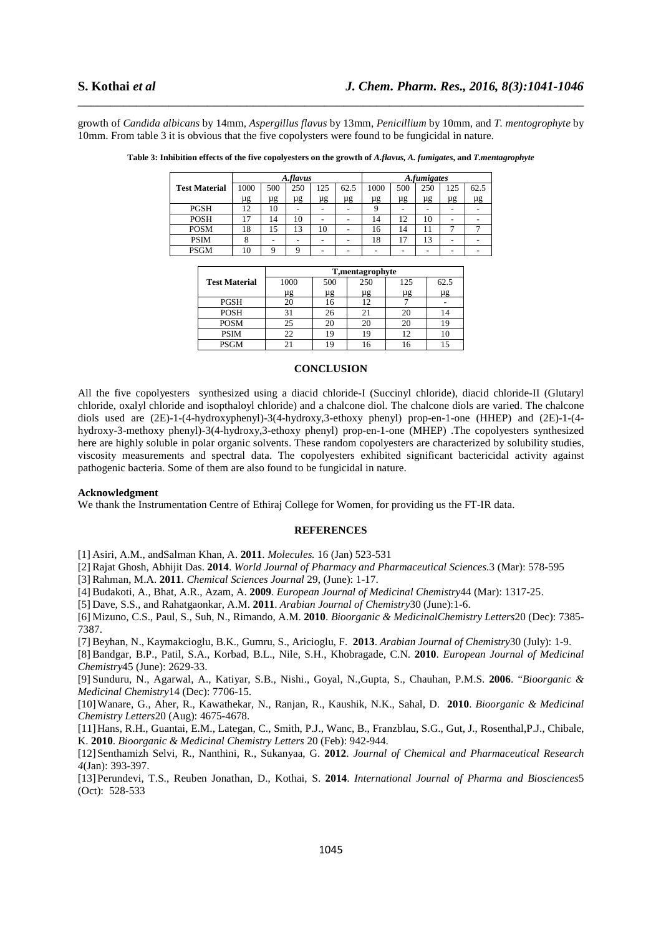growth of *Candida albicans* by 14mm, *Aspergillus flavus* by 13mm, *Penicillium* by 10mm, and *T. mentogrophyte* by 10mm. From table 3 it is obvious that the five copolysters were found to be fungicidal in nature.

\_\_\_\_\_\_\_\_\_\_\_\_\_\_\_\_\_\_\_\_\_\_\_\_\_\_\_\_\_\_\_\_\_\_\_\_\_\_\_\_\_\_\_\_\_\_\_\_\_\_\_\_\_\_\_\_\_\_\_\_\_\_\_\_\_\_\_\_\_\_\_\_\_\_\_\_\_\_

|                      |      |          | A.flavus |         |      | <b>A</b> , <i>fumigates</i> |     |     |     |      |  |
|----------------------|------|----------|----------|---------|------|-----------------------------|-----|-----|-----|------|--|
| <b>Test Material</b> | 1000 | 500      | 250      | 125     | 62.5 | 1000                        | 500 | 250 | 125 | 62.5 |  |
|                      | μg   | $\mu$ g  | $\mu$ g  | $\mu$ g | μg   | μg                          | μg  | μg  | μg  | μg   |  |
| <b>PGSH</b>          | 12   | 10       |          |         |      |                             |     |     |     |      |  |
| <b>POSH</b>          |      | 14       | 10       |         |      | 14                          | 12  | 10  |     |      |  |
| <b>POSM</b>          | 18   | 15       | 13       | 10      |      | 16                          | 14  |     |     |      |  |
| <b>PSIM</b>          |      |          |          |         |      | 18                          | 17  | 13  |     |      |  |
| <b>PSGM</b>          | 10   | $\Omega$ |          |         |      |                             |     |     |     |      |  |

Table 3: Inhibition effects of the five copolyesters on the growth of *A.flavus, A. fumigates*, and *T.mentagrophyte* 

|                      | T, mentagrophyte |     |                 |     |         |  |  |  |  |  |  |
|----------------------|------------------|-----|-----------------|-----|---------|--|--|--|--|--|--|
| <b>Test Material</b> | 1000             | 500 | 250             | 125 | 62.5    |  |  |  |  |  |  |
|                      | μg               | μg  | μg              | μg  | $\mu$ g |  |  |  |  |  |  |
| <b>PGSH</b>          |                  | 16  |                 |     |         |  |  |  |  |  |  |
| <b>POSH</b>          | 3                | 26  |                 | 20  |         |  |  |  |  |  |  |
| <b>POSM</b>          | 25               | 20  |                 | 20  |         |  |  |  |  |  |  |
| <b>PSIM</b>          | 22               | 19  | 10 <sup>2</sup> | 12  |         |  |  |  |  |  |  |
| <b>PSGM</b>          |                  |     |                 |     |         |  |  |  |  |  |  |

### **CONCLUSION**

All the five copolyesters synthesized using a diacid chloride-I (Succinyl chloride), diacid chloride-II (Glutaryl chloride, oxalyl chloride and isopthaloyl chloride) and a chalcone diol. The chalcone diols are varied. The chalcone diols used are (2E)-1-(4-hydroxyphenyl)-3(4-hydroxy,3-ethoxy phenyl) prop-en-1-one (HHEP) and (2E)-1-(4 hydroxy-3-methoxy phenyl)-3(4-hydroxy,3-ethoxy phenyl) prop-en-1-one (MHEP) .The copolyesters synthesized here are highly soluble in polar organic solvents. These random copolyesters are characterized by solubility studies, viscosity measurements and spectral data. The copolyesters exhibited significant bactericidal activity against pathogenic bacteria. Some of them are also found to be fungicidal in nature.

# **Acknowledgment**

We thank the Instrumentation Centre of Ethiraj College for Women, for providing us the FT-IR data.

# **REFERENCES**

[1] Asiri, A.M., andSalman Khan, A. **2011**. *Molecules.* 16 (Jan) 523-531

[2] Rajat Ghosh, Abhijit Das. **2014**. *World Journal of Pharmacy and Pharmaceutical Sciences.*3 (Mar): 578-595

[3] Rahman, M.A. **2011**. *Chemical Sciences Journal* 29, (June): 1-17.

[4] Budakoti, A., Bhat, A.R., Azam, A. **2009**. *European Journal of Medicinal Chemistry*44 (Mar): 1317-25.

[5] Dave, S.S., and Rahatgaonkar, A.M. **2011**. *Arabian Journal of Chemistry*30 (June):1-6.

[6] Mizuno, C.S., Paul, S., Suh, N., Rimando, A.M. **2010**. *Bioorganic & MedicinalChemistry Letters*20 (Dec): 7385- 7387.

[7] Beyhan, N., Kaymakcioglu, B.K., Gumru, S., Aricioglu, F. **2013**. *Arabian Journal of Chemistry*30 (July): 1-9.

[8] Bandgar, B.P., Patil, S.A., Korbad, B.L., Nile, S.H., Khobragade, C.N. **2010**. *European Journal of Medicinal Chemistry*45 (June): 2629-33.

[9] Sunduru, N., Agarwal, A., Katiyar, S.B., Nishi., Goyal, N.,Gupta, S., Chauhan, P.M.S. **2006**. "*Bioorganic & Medicinal Chemistry*14 (Dec): 7706-15.

[10]Wanare, G., Aher, R., Kawathekar, N., Ranjan, R., Kaushik, N.K., Sahal, D. **2010**. *Bioorganic & Medicinal Chemistry Letters*20 (Aug): 4675-4678.

[11]Hans, R.H., Guantai, E.M., Lategan, C., Smith, P.J., Wanc, B., Franzblau, S.G., Gut, J., Rosenthal,P.J., Chibale, K. **2010**. *Bioorganic & Medicinal Chemistry Letters* 20 (Feb): 942-944.

[12]Senthamizh Selvi, R., Nanthini, R., Sukanyaa, G. **2012**. *Journal of Chemical and Pharmaceutical Research 4*(Jan): 393-397.

[13]Perundevi, T.S., Reuben Jonathan, D., Kothai, S. **2014**. *International Journal of Pharma and Biosciences*5 (Oct): 528-533